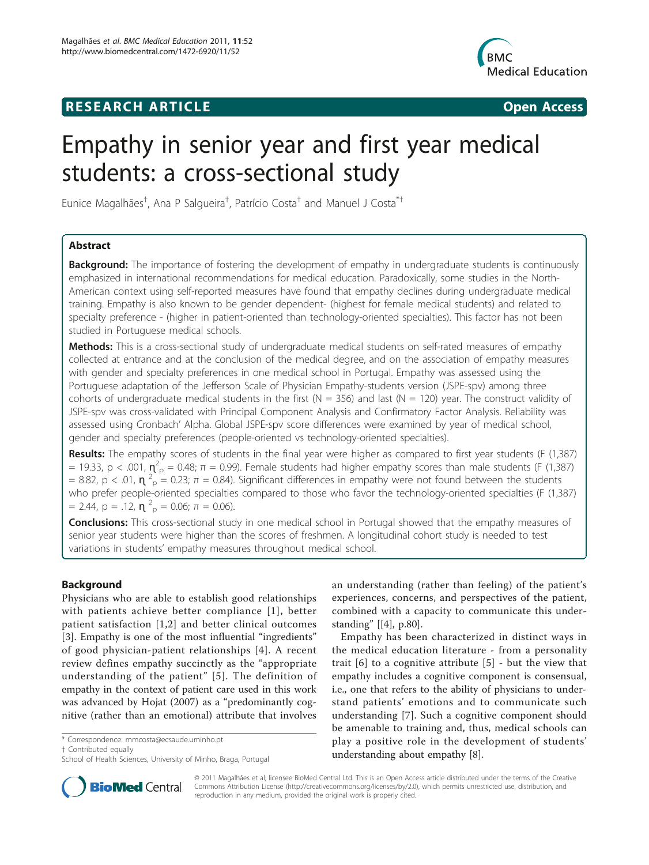## **RESEARCH ARTICLE Example 2018 Open Access**



# Empathy in senior year and first year medical students: a cross-sectional study

Eunice Magalhães† , Ana P Salgueira† , Patrício Costa† and Manuel J Costa\*†

## Abstract

**Background:** The importance of fostering the development of empathy in undergraduate students is continuously emphasized in international recommendations for medical education. Paradoxically, some studies in the North-American context using self-reported measures have found that empathy declines during undergraduate medical training. Empathy is also known to be gender dependent- (highest for female medical students) and related to specialty preference - (higher in patient-oriented than technology-oriented specialties). This factor has not been studied in Portuguese medical schools.

Methods: This is a cross-sectional study of undergraduate medical students on self-rated measures of empathy collected at entrance and at the conclusion of the medical degree, and on the association of empathy measures with gender and specialty preferences in one medical school in Portugal. Empathy was assessed using the Portuguese adaptation of the Jefferson Scale of Physician Empathy-students version (JSPE-spv) among three cohorts of undergraduate medical students in the first ( $N = 356$ ) and last ( $N = 120$ ) year. The construct validity of JSPE-spv was cross-validated with Principal Component Analysis and Confirmatory Factor Analysis. Reliability was assessed using Cronbach' Alpha. Global JSPE-spv score differences were examined by year of medical school, gender and specialty preferences (people-oriented vs technology-oriented specialties).

Results: The empathy scores of students in the final year were higher as compared to first year students (F (1,387) = 19.33, p < .001,  $\eta^2$ <sub>p</sub> = 0.48; π = 0.99). Female students had higher empathy scores than male students (F (1,387) = 8.82, p < .01,  $\eta^2$  = 0.23;  $\pi$  = 0.84). Significant differences in empathy were not found between the students who prefer people-oriented specialties compared to those who favor the technology-oriented specialties (F (1,387) = 2.44, p = .12,  $\eta^2$ <sub>p</sub> = 0.06;  $\pi$  = 0.06).

**Conclusions:** This cross-sectional study in one medical school in Portugal showed that the empathy measures of senior year students were higher than the scores of freshmen. A longitudinal cohort study is needed to test variations in students' empathy measures throughout medical school.

## Background

Physicians who are able to establish good relationships with patients achieve better compliance [\[1\]](#page-5-0), better patient satisfaction [\[1,2](#page-5-0)] and better clinical outcomes [[3\]](#page-5-0). Empathy is one of the most influential "ingredients" of good physician-patient relationships [\[4\]](#page-5-0). A recent review defines empathy succinctly as the "appropriate understanding of the patient" [[5](#page-5-0)]. The definition of empathy in the context of patient care used in this work was advanced by Hojat (2007) as a "predominantly cognitive (rather than an emotional) attribute that involves

† Contributed equally



Empathy has been characterized in distinct ways in the medical education literature - from a personality trait [\[6](#page-5-0)] to a cognitive attribute [\[5](#page-5-0)] - but the view that empathy includes a cognitive component is consensual, i.e., one that refers to the ability of physicians to understand patients' emotions and to communicate such understanding [[7\]](#page-5-0). Such a cognitive component should be amenable to training and, thus, medical schools can play a positive role in the development of students' understanding about empathy [[8\]](#page-6-0).



© 2011 Magalhães et al; licensee BioMed Central Ltd. This is an Open Access article distributed under the terms of the Creative Commons Attribution License [\(http://creativecommons.org/licenses/by/2.0](http://creativecommons.org/licenses/by/2.0)), which permits unrestricted use, distribution, and reproduction in any medium, provided the original work is properly cited.

<sup>\*</sup> Correspondence: [mmcosta@ecsaude.uminho.pt](mailto:mmcosta@ecsaude.uminho.pt)

School of Health Sciences, University of Minho, Braga, Portugal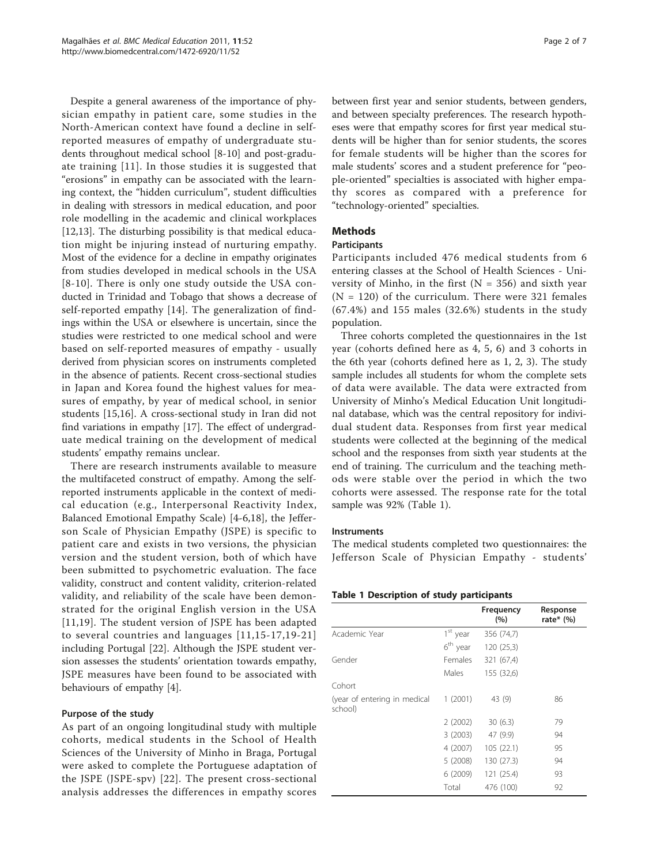Despite a general awareness of the importance of physician empathy in patient care, some studies in the North-American context have found a decline in selfreported measures of empathy of undergraduate students throughout medical school [[8](#page-6-0)-[10\]](#page-6-0) and post-graduate training [\[11\]](#page-6-0). In those studies it is suggested that "erosions" in empathy can be associated with the learning context, the "hidden curriculum", student difficulties in dealing with stressors in medical education, and poor role modelling in the academic and clinical workplaces [[12,13\]](#page-6-0). The disturbing possibility is that medical education might be injuring instead of nurturing empathy. Most of the evidence for a decline in empathy originates from studies developed in medical schools in the USA [[8](#page-6-0)-[10](#page-6-0)]. There is only one study outside the USA conducted in Trinidad and Tobago that shows a decrease of self-reported empathy [[14\]](#page-6-0). The generalization of findings within the USA or elsewhere is uncertain, since the studies were restricted to one medical school and were based on self-reported measures of empathy - usually derived from physician scores on instruments completed in the absence of patients. Recent cross-sectional studies in Japan and Korea found the highest values for measures of empathy, by year of medical school, in senior students [[15,16\]](#page-6-0). A cross-sectional study in Iran did not find variations in empathy [\[17\]](#page-6-0). The effect of undergraduate medical training on the development of medical students' empathy remains unclear.

There are research instruments available to measure the multifaceted construct of empathy. Among the selfreported instruments applicable in the context of medical education (e.g., Interpersonal Reactivity Index, Balanced Emotional Empathy Scale) [\[4](#page-5-0)-[6,](#page-5-0)[18\]](#page-6-0), the Jefferson Scale of Physician Empathy (JSPE) is specific to patient care and exists in two versions, the physician version and the student version, both of which have been submitted to psychometric evaluation. The face validity, construct and content validity, criterion-related validity, and reliability of the scale have been demonstrated for the original English version in the USA [[11](#page-6-0),[19\]](#page-6-0). The student version of JSPE has been adapted to several countries and languages [[11](#page-6-0),[15-17](#page-6-0),[19-21](#page-6-0)] including Portugal [\[22\]](#page-6-0). Although the JSPE student version assesses the students' orientation towards empathy, JSPE measures have been found to be associated with behaviours of empathy [\[4](#page-5-0)].

#### Purpose of the study

As part of an ongoing longitudinal study with multiple cohorts, medical students in the School of Health Sciences of the University of Minho in Braga, Portugal were asked to complete the Portuguese adaptation of the JSPE (JSPE-spv) [[22\]](#page-6-0). The present cross-sectional analysis addresses the differences in empathy scores between first year and senior students, between genders, and between specialty preferences. The research hypotheses were that empathy scores for first year medical students will be higher than for senior students, the scores for female students will be higher than the scores for male students' scores and a student preference for "people-oriented" specialties is associated with higher empathy scores as compared with a preference for "technology-oriented" specialties.

## Methods

#### Participants

Participants included 476 medical students from 6 entering classes at the School of Health Sciences - University of Minho, in the first  $(N = 356)$  and sixth year  $(N = 120)$  of the curriculum. There were 321 females (67.4%) and 155 males (32.6%) students in the study population.

Three cohorts completed the questionnaires in the 1st year (cohorts defined here as 4, 5, 6) and 3 cohorts in the 6th year (cohorts defined here as 1, 2, 3). The study sample includes all students for whom the complete sets of data were available. The data were extracted from University of Minho's Medical Education Unit longitudinal database, which was the central repository for individual student data. Responses from first year medical students were collected at the beginning of the medical school and the responses from sixth year students at the end of training. The curriculum and the teaching methods were stable over the period in which the two cohorts were assessed. The response rate for the total sample was 92% (Table 1).

#### **Instruments**

The medical students completed two questionnaires: the Jefferson Scale of Physician Empathy - students'

#### Table 1 Description of study participants

|                                         |            | Frequency<br>(%) | Response<br>rate* $(%)$ |
|-----------------------------------------|------------|------------------|-------------------------|
| Academic Year                           | $1st$ year | 356 (74,7)       |                         |
|                                         | $6th$ year | 120(25,3)        |                         |
| Gender                                  | Females    | 321 (67,4)       |                         |
|                                         | Males      | 155 (32,6)       |                         |
| Cohort                                  |            |                  |                         |
| (year of entering in medical<br>school) | 1(2001)    | 43 (9)           | 86                      |
|                                         | 2(2002)    | 30(6.3)          | 79                      |
|                                         | 3(2003)    | 47 (9.9)         | 94                      |
|                                         | 4 (2007)   | 105(22.1)        | 95                      |
|                                         | 5(2008)    | 130 (27.3)       | 94                      |
|                                         | 6(2009)    | 121 (25.4)       | 93                      |
|                                         | Total      | 476 (100)        | 92                      |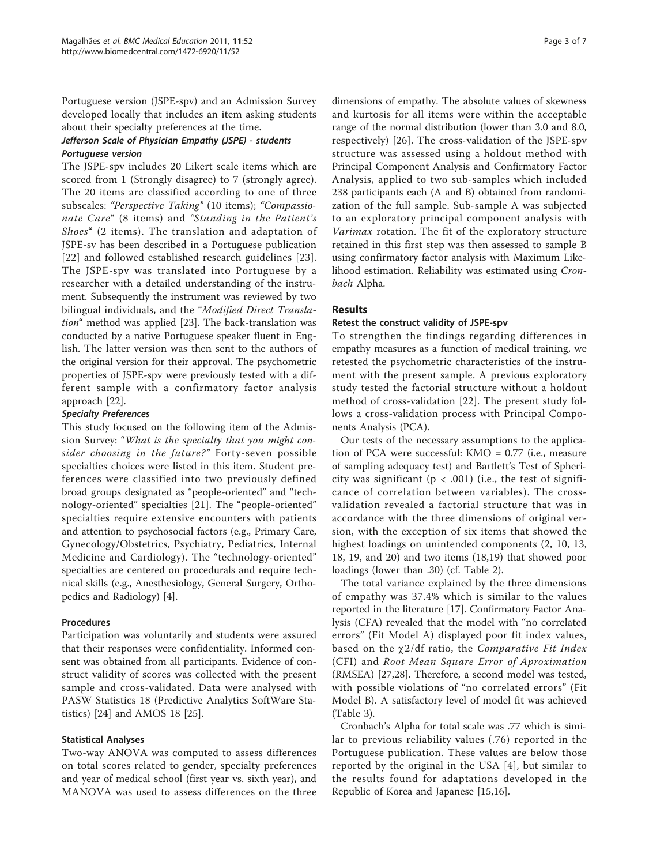Portuguese version (JSPE-spv) and an Admission Survey developed locally that includes an item asking students about their specialty preferences at the time.

## Jefferson Scale of Physician Empathy (JSPE) - students Portuguese version

The JSPE-spv includes 20 Likert scale items which are scored from 1 (Strongly disagree) to 7 (strongly agree). The 20 items are classified according to one of three subscales: "Perspective Taking" (10 items); "Compassionate Care" (8 items) and "Standing in the Patient's Shoes" (2 items). The translation and adaptation of JSPE-sv has been described in a Portuguese publication [[22](#page-6-0)] and followed established research guidelines [[23](#page-6-0)]. The JSPE-spv was translated into Portuguese by a researcher with a detailed understanding of the instrument. Subsequently the instrument was reviewed by two bilingual individuals, and the "Modified Direct Translation" method was applied [\[23](#page-6-0)]. The back-translation was conducted by a native Portuguese speaker fluent in English. The latter version was then sent to the authors of the original version for their approval. The psychometric properties of JSPE-spv were previously tested with a different sample with a confirmatory factor analysis approach [[22](#page-6-0)].

#### Specialty Preferences

This study focused on the following item of the Admission Survey: "What is the specialty that you might consider choosing in the future?" Forty-seven possible specialties choices were listed in this item. Student preferences were classified into two previously defined broad groups designated as "people-oriented" and "technology-oriented" specialties [[21\]](#page-6-0). The "people-oriented" specialties require extensive encounters with patients and attention to psychosocial factors (e.g., Primary Care, Gynecology/Obstetrics, Psychiatry, Pediatrics, Internal Medicine and Cardiology). The "technology-oriented" specialties are centered on procedurals and require technical skills (e.g., Anesthesiology, General Surgery, Orthopedics and Radiology) [[4\]](#page-5-0).

## Procedures

Participation was voluntarily and students were assured that their responses were confidentiality. Informed consent was obtained from all participants. Evidence of construct validity of scores was collected with the present sample and cross-validated. Data were analysed with PASW Statistics 18 (Predictive Analytics SoftWare Statistics) [[24](#page-6-0)] and AMOS 18 [[25\]](#page-6-0).

## Statistical Analyses

Two-way ANOVA was computed to assess differences on total scores related to gender, specialty preferences and year of medical school (first year vs. sixth year), and MANOVA was used to assess differences on the three dimensions of empathy. The absolute values of skewness and kurtosis for all items were within the acceptable range of the normal distribution (lower than 3.0 and 8.0, respectively) [[26\]](#page-6-0). The cross-validation of the JSPE-spv structure was assessed using a holdout method with Principal Component Analysis and Confirmatory Factor Analysis, applied to two sub-samples which included 238 participants each (A and B) obtained from randomization of the full sample. Sub-sample A was subjected to an exploratory principal component analysis with Varimax rotation. The fit of the exploratory structure retained in this first step was then assessed to sample B using confirmatory factor analysis with Maximum Likelihood estimation. Reliability was estimated using Cronbach Alpha.

## Results

#### Retest the construct validity of JSPE-spv

To strengthen the findings regarding differences in empathy measures as a function of medical training, we retested the psychometric characteristics of the instrument with the present sample. A previous exploratory study tested the factorial structure without a holdout method of cross-validation [[22\]](#page-6-0). The present study follows a cross-validation process with Principal Components Analysis (PCA).

Our tests of the necessary assumptions to the application of PCA were successful: KMO = 0.77 (i.e., measure of sampling adequacy test) and Bartlett's Test of Sphericity was significant ( $p < .001$ ) (i.e., the test of significance of correlation between variables). The crossvalidation revealed a factorial structure that was in accordance with the three dimensions of original version, with the exception of six items that showed the highest loadings on unintended components (2, 10, 13, 18, 19, and 20) and two items (18,19) that showed poor loadings (lower than .30) (cf. Table [2\)](#page-3-0).

The total variance explained by the three dimensions of empathy was 37.4% which is similar to the values reported in the literature [\[17\]](#page-6-0). Confirmatory Factor Analysis (CFA) revealed that the model with "no correlated errors" (Fit Model A) displayed poor fit index values, based on the  $\chi$ 2/df ratio, the Comparative Fit Index (CFI) and Root Mean Square Error of Aproximation (RMSEA) [[27,28\]](#page-6-0). Therefore, a second model was tested, with possible violations of "no correlated errors" (Fit Model B). A satisfactory level of model fit was achieved (Table [3\)](#page-4-0).

Cronbach's Alpha for total scale was .77 which is similar to previous reliability values (.76) reported in the Portuguese publication. These values are below those reported by the original in the USA [[4\]](#page-5-0), but similar to the results found for adaptations developed in the Republic of Korea and Japanese [\[15,16\]](#page-6-0).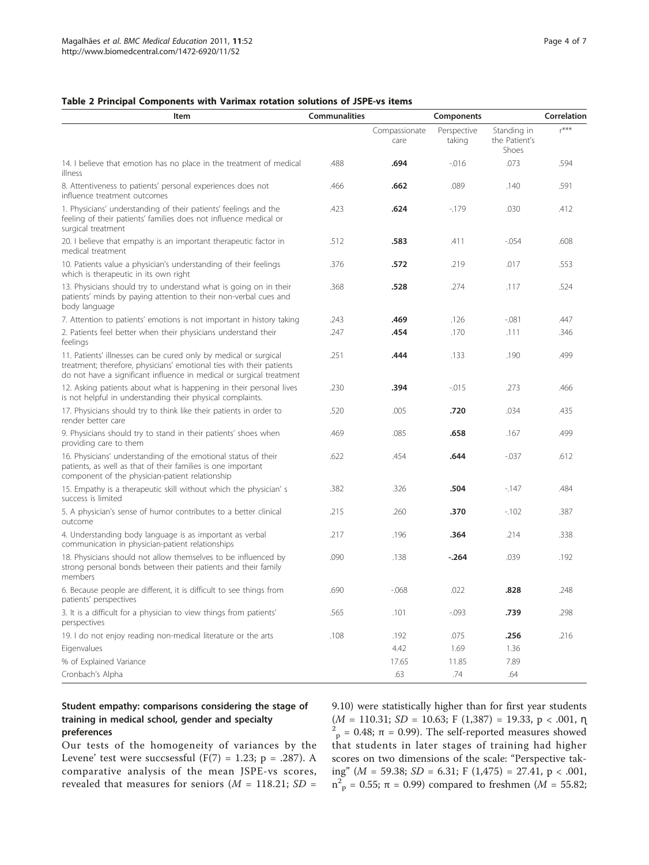#### <span id="page-3-0"></span>Table 2 Principal Components with Varimax rotation solutions of JSPE-vs items

| Item                                                                                                                                                                                                             | <b>Communalities</b> | Components            |                       |                                       | Correlation |
|------------------------------------------------------------------------------------------------------------------------------------------------------------------------------------------------------------------|----------------------|-----------------------|-----------------------|---------------------------------------|-------------|
|                                                                                                                                                                                                                  |                      | Compassionate<br>care | Perspective<br>taking | Standing in<br>the Patient's<br>Shoes | $r***$      |
| 14. I believe that emotion has no place in the treatment of medical<br>illness                                                                                                                                   | .488                 | .694                  | $-0.016$              | .073                                  | .594        |
| 8. Attentiveness to patients' personal experiences does not<br>influence treatment outcomes                                                                                                                      | .466                 | .662                  | .089                  | .140                                  | .591        |
| 1. Physicians' understanding of their patients' feelings and the<br>feeling of their patients' families does not influence medical or<br>surgical treatment                                                      | .423                 | .624                  | $-179$                | .030                                  | .412        |
| 20. I believe that empathy is an important therapeutic factor in<br>medical treatment                                                                                                                            | .512                 | .583                  | .411                  | $-0.054$                              | .608        |
| 10. Patients value a physician's understanding of their feelings<br>which is therapeutic in its own right                                                                                                        | .376                 | .572                  | .219                  | .017                                  | .553        |
| 13. Physicians should try to understand what is going on in their<br>patients' minds by paying attention to their non-verbal cues and<br>body language                                                           | .368                 | .528                  | .274                  | .117                                  | .524        |
| 7. Attention to patients' emotions is not important in history taking                                                                                                                                            | .243                 | .469                  | .126                  | $-.081$                               | .447        |
| 2. Patients feel better when their physicians understand their<br>feelings                                                                                                                                       | .247                 | .454                  | .170                  | .111                                  | .346        |
| 11. Patients' illnesses can be cured only by medical or surgical<br>treatment; therefore, physicians' emotional ties with their patients<br>do not have a significant influence in medical or surgical treatment | .251                 | .444                  | .133                  | .190                                  | .499        |
| 12. Asking patients about what is happening in their personal lives<br>is not helpful in understanding their physical complaints.                                                                                | .230                 | .394                  | $-0.015$              | .273                                  | .466        |
| 17. Physicians should try to think like their patients in order to<br>render better care                                                                                                                         | .520                 | .005                  | .720                  | .034                                  | .435        |
| 9. Physicians should try to stand in their patients' shoes when<br>providing care to them                                                                                                                        | .469                 | .085                  | .658                  | .167                                  | .499        |
| 16. Physicians' understanding of the emotional status of their<br>patients, as well as that of their families is one important<br>component of the physician-patient relationship                                | .622                 | .454                  | .644                  | $-0.037$                              | .612        |
| 15. Empathy is a therapeutic skill without which the physician's<br>success is limited                                                                                                                           | .382                 | .326                  | .504                  | $-147$                                | .484        |
| 5. A physician's sense of humor contributes to a better clinical<br>outcome                                                                                                                                      | .215                 | .260                  | .370                  | $-102$                                | .387        |
| 4. Understanding body language is as important as verbal<br>communication in physician-patient relationships                                                                                                     | .217                 | .196                  | .364                  | .214                                  | .338        |
| 18. Physicians should not allow themselves to be influenced by<br>strong personal bonds between their patients and their family<br>members                                                                       | .090                 | .138                  | $-.264$               | .039                                  | .192        |
| 6. Because people are different, it is difficult to see things from<br>patients' perspectives                                                                                                                    | .690                 | $-068$                | .022                  | .828                                  | .248        |
| 3. It is a difficult for a physician to view things from patients'<br>perspectives                                                                                                                               | .565                 | .101                  | $-0.093$              | .739                                  | .298        |
| 19. I do not enjoy reading non-medical literature or the arts                                                                                                                                                    | .108                 | .192                  | .075                  | .256                                  | .216        |
| Eigenvalues                                                                                                                                                                                                      |                      | 4.42                  | 1.69                  | 1.36                                  |             |
| % of Explained Variance                                                                                                                                                                                          |                      | 17.65                 | 11.85                 | 7.89                                  |             |
| Cronbach's Alpha                                                                                                                                                                                                 |                      | .63                   | .74                   | .64                                   |             |

## Student empathy: comparisons considering the stage of training in medical school, gender and specialty preferences

Our tests of the homogeneity of variances by the Levene' test were succsessful (F(7) = 1.23; p = .287). A comparative analysis of the mean JSPE-vs scores, revealed that measures for seniors ( $M = 118.21$ ;  $SD =$ 

9.10) were statistically higher than for first year students  $(M = 110.31; SD = 10.63; F(1,387) = 19.33, p < .001, \eta$  $p^2$ <sub>p</sub> = 0.48;  $\pi$  = 0.99). The self-reported measures showed that students in later stages of training had higher scores on two dimensions of the scale: "Perspective taking" ( $M = 59.38$ ;  $SD = 6.31$ ; F (1,475) = 27.41, p < .001,  $n_{\text{p}}^2$  = 0.55; π = 0.99) compared to freshmen (*M* = 55.82;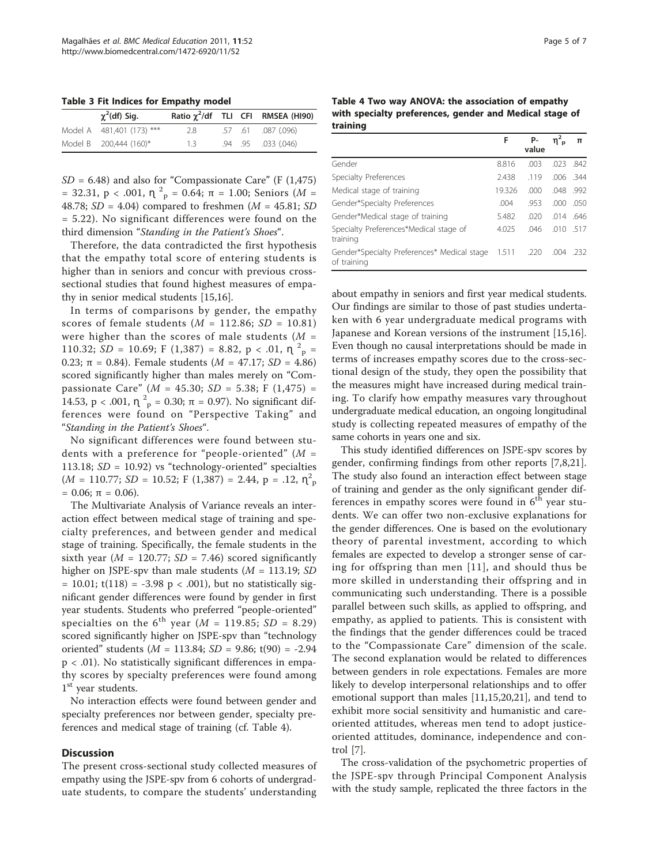<span id="page-4-0"></span>Table 3 Fit Indices for Empathy model

| $\chi^2$ (df) Sig.        |     |  | Ratio $\chi^2$ /df TLI CFI RMSEA (HI90) |
|---------------------------|-----|--|-----------------------------------------|
| Model A 481,401 (173) *** | 2.8 |  | .57 .61 .087 (.096)                     |
| Model B 200,444 (160)*    | 1.3 |  | $.94$ $.95$ $.033$ $(.046)$             |

 $SD = 6.48$ ) and also for "Compassionate Care" (F (1,475) = 32.31, p < .001, η  $^2$ <sub>p</sub> = 0.64; π = 1.00; Seniors (*M* = 48.78;  $SD = 4.04$ ) compared to freshmen ( $M = 45.81$ ; SD = 5.22). No significant differences were found on the third dimension "Standing in the Patient's Shoes".

Therefore, the data contradicted the first hypothesis that the empathy total score of entering students is higher than in seniors and concur with previous crosssectional studies that found highest measures of empathy in senior medical students [\[15,16\]](#page-6-0).

In terms of comparisons by gender, the empathy scores of female students ( $M = 112.86$ ;  $SD = 10.81$ ) were higher than the scores of male students  $(M =$ 110.32;  $SD = 10.69$ ; F (1,387) = 8.82, p < .01,  $\eta^2$ <sub>p</sub> = 0.23;  $\pi = 0.84$ ). Female students (*M = 47.17; SD = 4.86*) scored significantly higher than males merely on "Compassionate Care" ( $M = 45.30$ ;  $SD = 5.38$ ; F (1,475) = 14.53, p < .001, η  $^2$ <sub>p</sub> = 0.30; π = 0.97). No significant differences were found on "Perspective Taking" and "Standing in the Patient's Shoes".

No significant differences were found between students with a preference for "people-oriented"  $(M =$ 113.18;  $SD = 10.92$ ) vs "technology-oriented" specialties  $(M = 110.77; SD = 10.52; F (1,387) = 2.44, p = .12, \eta^2$  $= 0.06$ ; π = 0.06).

The Multivariate Analysis of Variance reveals an interaction effect between medical stage of training and specialty preferences, and between gender and medical stage of training. Specifically, the female students in the sixth year ( $M = 120.77$ ;  $SD = 7.46$ ) scored significantly higher on JSPE-spv than male students ( $M = 113.19$ ; SD  $= 10.01$ ; t(118) = -3.98 p < .001), but no statistically significant gender differences were found by gender in first year students. Students who preferred "people-oriented" specialties on the 6<sup>th</sup> year ( $M = 119.85$ ;  $SD = 8.29$ ) scored significantly higher on JSPE-spv than "technology oriented" students ( $M = 113.84$ ;  $SD = 9.86$ ; t(90) = -2.94 p < .01). No statistically significant differences in empathy scores by specialty preferences were found among 1<sup>st</sup> year students.

No interaction effects were found between gender and specialty preferences nor between gender, specialty preferences and medical stage of training (cf. Table 4).

#### **Discussion**

The present cross-sectional study collected measures of empathy using the JSPE-spv from 6 cohorts of undergraduate students, to compare the students' understanding

Table 4 Two way ANOVA: the association of empathy with specialty preferences, gender and Medical stage of training

|                                                            | F      | Р-    | $\eta_{\rm p}^2$ | $\pi$ |
|------------------------------------------------------------|--------|-------|------------------|-------|
|                                                            |        | value |                  |       |
| Gender                                                     | 8.816  | .003  | .023             | .842  |
| Specialty Preferences                                      | 2.438  | .119  | $.006$ $.344$    |       |
| Medical stage of training                                  | 19.326 | .000  | .048             | .992  |
| Gender*Specialty Preferences                               | .004   | .953  | .000             | .050  |
| Gender*Medical stage of training                           | 5.482  | .020  | .014             | .646  |
| Specialty Preferences*Medical stage of<br>training         | 4.025  | .046  | .010             | .517  |
| Gender*Specialty Preferences* Medical stage<br>of training | 1.511  | .220  | .004             | .232  |

about empathy in seniors and first year medical students. Our findings are similar to those of past studies undertaken with 6 year undergraduate medical programs with Japanese and Korean versions of the instrument [[15,16](#page-6-0)]. Even though no causal interpretations should be made in terms of increases empathy scores due to the cross-sectional design of the study, they open the possibility that the measures might have increased during medical training. To clarify how empathy measures vary throughout undergraduate medical education, an ongoing longitudinal study is collecting repeated measures of empathy of the same cohorts in years one and six.

This study identified differences on JSPE-spv scores by gender, confirming findings from other reports [[7,](#page-5-0)[8,21](#page-6-0)]. The study also found an interaction effect between stage of training and gender as the only significant gender differences in empathy scores were found in  $6<sup>th</sup>$  year students. We can offer two non-exclusive explanations for the gender differences. One is based on the evolutionary theory of parental investment, according to which females are expected to develop a stronger sense of caring for offspring than men [[11\]](#page-6-0), and should thus be more skilled in understanding their offspring and in communicating such understanding. There is a possible parallel between such skills, as applied to offspring, and empathy, as applied to patients. This is consistent with the findings that the gender differences could be traced to the "Compassionate Care" dimension of the scale. The second explanation would be related to differences between genders in role expectations. Females are more likely to develop interpersonal relationships and to offer emotional support than males [[11](#page-6-0),[15,20,21\]](#page-6-0), and tend to exhibit more social sensitivity and humanistic and careoriented attitudes, whereas men tend to adopt justiceoriented attitudes, dominance, independence and control [[7](#page-5-0)].

The cross-validation of the psychometric properties of the JSPE-spv through Principal Component Analysis with the study sample, replicated the three factors in the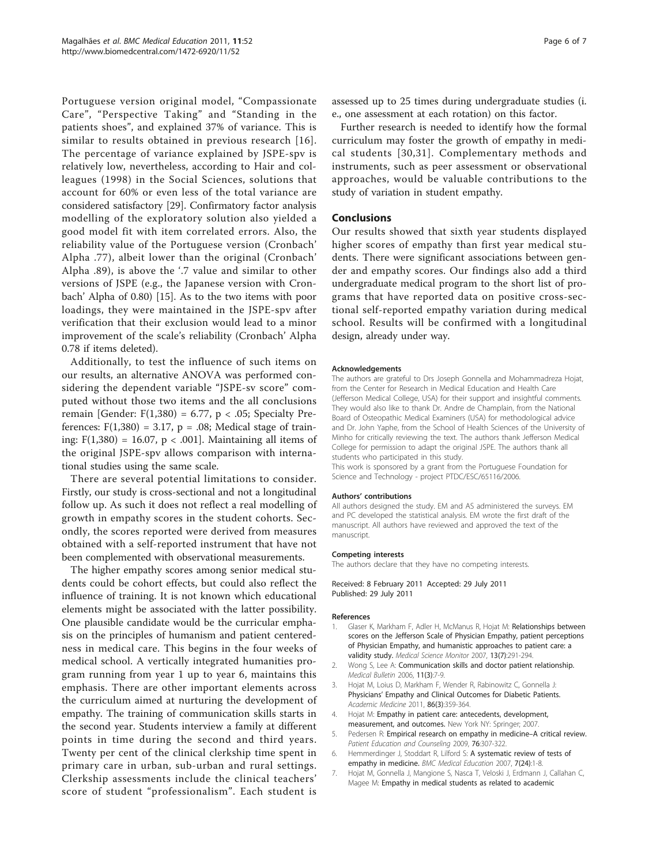<span id="page-5-0"></span>Portuguese version original model, "Compassionate Care", "Perspective Taking" and "Standing in the patients shoes", and explained 37% of variance. This is similar to results obtained in previous research [\[16\]](#page-6-0). The percentage of variance explained by JSPE-spv is relatively low, nevertheless, according to Hair and colleagues (1998) in the Social Sciences, solutions that account for 60% or even less of the total variance are considered satisfactory [[29\]](#page-6-0). Confirmatory factor analysis modelling of the exploratory solution also yielded a good model fit with item correlated errors. Also, the reliability value of the Portuguese version (Cronbach' Alpha .77), albeit lower than the original (Cronbach' Alpha .89), is above the '.7 value and similar to other versions of JSPE (e.g., the Japanese version with Cronbach' Alpha of 0.80) [\[15](#page-6-0)]. As to the two items with poor loadings, they were maintained in the JSPE-spv after verification that their exclusion would lead to a minor improvement of the scale's reliability (Cronbach' Alpha 0.78 if items deleted).

Additionally, to test the influence of such items on our results, an alternative ANOVA was performed considering the dependent variable "JSPE-sv score" computed without those two items and the all conclusions remain [Gender:  $F(1,380) = 6.77$ ,  $p < .05$ ; Specialty Preferences:  $F(1,380) = 3.17$ ,  $p = .08$ ; Medical stage of training:  $F(1,380) = 16.07$ ,  $p < .001$ ]. Maintaining all items of the original JSPE-spv allows comparison with international studies using the same scale.

There are several potential limitations to consider. Firstly, our study is cross-sectional and not a longitudinal follow up. As such it does not reflect a real modelling of growth in empathy scores in the student cohorts. Secondly, the scores reported were derived from measures obtained with a self-reported instrument that have not been complemented with observational measurements.

The higher empathy scores among senior medical students could be cohort effects, but could also reflect the influence of training. It is not known which educational elements might be associated with the latter possibility. One plausible candidate would be the curricular emphasis on the principles of humanism and patient centeredness in medical care. This begins in the four weeks of medical school. A vertically integrated humanities program running from year 1 up to year 6, maintains this emphasis. There are other important elements across the curriculum aimed at nurturing the development of empathy. The training of communication skills starts in the second year. Students interview a family at different points in time during the second and third years. Twenty per cent of the clinical clerkship time spent in primary care in urban, sub-urban and rural settings. Clerkship assessments include the clinical teachers' score of student "professionalism". Each student is

assessed up to 25 times during undergraduate studies (i. e., one assessment at each rotation) on this factor.

Further research is needed to identify how the formal curriculum may foster the growth of empathy in medical students [[30](#page-6-0),[31](#page-6-0)]. Complementary methods and instruments, such as peer assessment or observational approaches, would be valuable contributions to the study of variation in student empathy.

#### Conclusions

Our results showed that sixth year students displayed higher scores of empathy than first year medical students. There were significant associations between gender and empathy scores. Our findings also add a third undergraduate medical program to the short list of programs that have reported data on positive cross-sectional self-reported empathy variation during medical school. Results will be confirmed with a longitudinal design, already under way.

#### Acknowledgements

The authors are grateful to Drs Joseph Gonnella and Mohammadreza Hojat, from the Center for Research in Medical Education and Health Care (Jefferson Medical College, USA) for their support and insightful comments. They would also like to thank Dr. Andre de Champlain, from the National Board of Osteopathic Medical Examiners (USA) for methodological advice and Dr. John Yaphe, from the School of Health Sciences of the University of Minho for critically reviewing the text. The authors thank Jefferson Medical College for permission to adapt the original JSPE. The authors thank all students who participated in this study.

This work is sponsored by a grant from the Portuguese Foundation for Science and Technology - project PTDC/ESC/65116/2006.

#### Authors' contributions

All authors designed the study. EM and AS administered the surveys. EM and PC developed the statistical analysis. EM wrote the first draft of the manuscript. All authors have reviewed and approved the text of the manuscript.

#### Competing interests

The authors declare that they have no competing interests.

Received: 8 February 2011 Accepted: 29 July 2011 Published: 29 July 2011

#### References

- 1. Glaser K, Markham F, Adler H, McManus R, Hojat M: Relationships between scores on the Jefferson Scale of Physician Empathy, patient perceptions of Physician Empathy, and humanistic approaches to patient care: a validity study. Medical Science Monitor 2007, 13(7):291-294.
- 2. Wong S, Lee A: Communication skills and doctor patient relationship. Medical Bulletin 2006, 11(3):7-9.
- 3. Hojat M, Loius D, Markham F, Wender R, Rabinowitz C, Gonnella J: Physicians' [Empathy and Clinical Outcomes for Diabetic Patients.](http://www.ncbi.nlm.nih.gov/pubmed/21248604?dopt=Abstract) Academic Medicine 2011, 86(3):359-364.
- 4. Hojat M: Empathy in patient care: antecedents, development, measurement, and outcomes. New York NY: Springer: 2007.
- 5. Pedersen R: [Empirical research on empathy in medicine](http://www.ncbi.nlm.nih.gov/pubmed/19631488?dopt=Abstract)–A critical review. Patient Education and Counseling 2009, 76:307-322.
- 6. Hemmerdinger J, Stoddart R, Lilford S: [A systematic review of tests of](http://www.ncbi.nlm.nih.gov/pubmed/17233923?dopt=Abstract) [empathy in medicine.](http://www.ncbi.nlm.nih.gov/pubmed/17233923?dopt=Abstract) BMC Medical Education 2007, 7(24):1-8.
- 7. Hojat M, Gonnella J, Mangione S, Nasca T, Veloski J, Erdmann J, Callahan C, Magee M: [Empathy in medical students as related to academic](http://www.ncbi.nlm.nih.gov/pubmed/12047665?dopt=Abstract)